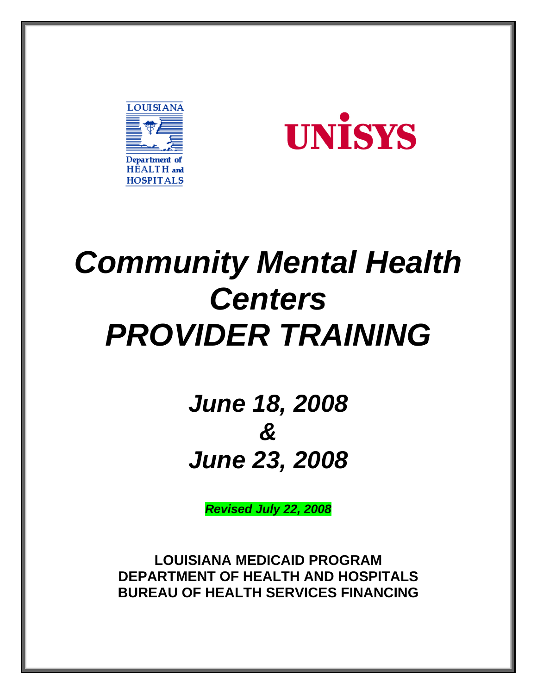



# *Community Mental Health Centers PROVIDER TRAINING*

*June 18, 2008 & June 23, 2008* 

*Revised July 22, 2008* 

**LOUISIANA MEDICAID PROGRAM DEPARTMENT OF HEALTH AND HOSPITALS BUREAU OF HEALTH SERVICES FINANCING**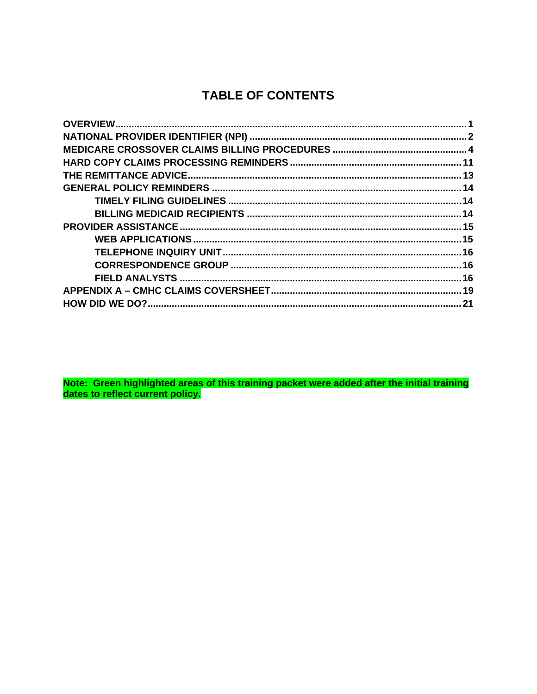# **TABLE OF CONTENTS**

Note: Green highlighted areas of this training packet were added after the initial training<br>dates to reflect current policy.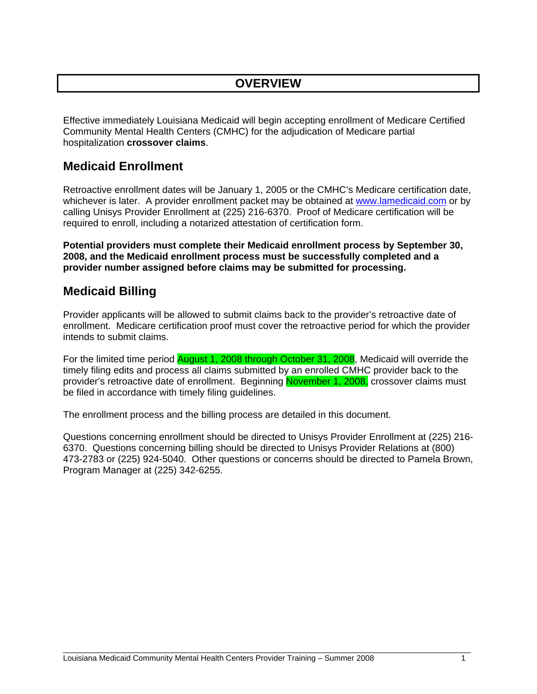# **OVERVIEW**

Effective immediately Louisiana Medicaid will begin accepting enrollment of Medicare Certified Community Mental Health Centers (CMHC) for the adjudication of Medicare partial hospitalization **crossover claims**.

# **Medicaid Enrollment**

Retroactive enrollment dates will be January 1, 2005 or the CMHC's Medicare certification date, whichever is later. A provider enrollment packet may be obtained at www.lamedicaid.com or by calling Unisys Provider Enrollment at (225) 216-6370. Proof of Medicare certification will be required to enroll, including a notarized attestation of certification form.

**Potential providers must complete their Medicaid enrollment process by September 30, 2008, and the Medicaid enrollment process must be successfully completed and a provider number assigned before claims may be submitted for processing.** 

# **Medicaid Billing**

Provider applicants will be allowed to submit claims back to the provider's retroactive date of enrollment. Medicare certification proof must cover the retroactive period for which the provider intends to submit claims.

For the limited time period **August 1, 2008 through October 31, 2008**, Medicaid will override the timely filing edits and process all claims submitted by an enrolled CMHC provider back to the provider's retroactive date of enrollment. Beginning November 1, 2008, crossover claims must be filed in accordance with timely filing guidelines.

The enrollment process and the billing process are detailed in this document.

Questions concerning enrollment should be directed to Unisys Provider Enrollment at (225) 216- 6370. Questions concerning billing should be directed to Unisys Provider Relations at (800) 473-2783 or (225) 924-5040. Other questions or concerns should be directed to Pamela Brown, Program Manager at (225) 342-6255.

 $\overline{a}$  , and the state of the state of the state of the state of the state of the state of the state of the state of the state of the state of the state of the state of the state of the state of the state of the state o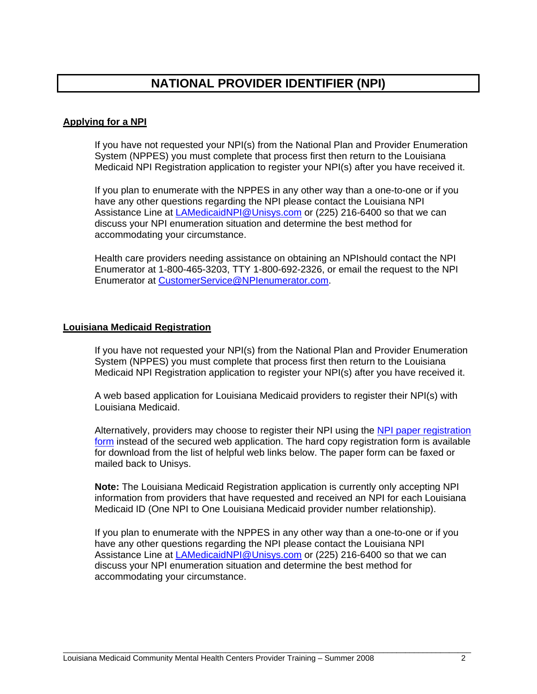# **NATIONAL PROVIDER IDENTIFIER (NPI)**

# **Applying for a NPI**

If you have not requested your NPI(s) from the National Plan and Provider Enumeration System (NPPES) you must complete that process first then return to the Louisiana Medicaid NPI Registration application to register your NPI(s) after you have received it.

If you plan to enumerate with the NPPES in any other way than a one-to-one or if you have any other questions regarding the NPI please contact the Louisiana NPI Assistance Line at LAMedicaidNPI@Unisys.com or (225) 216-6400 so that we can discuss your NPI enumeration situation and determine the best method for accommodating your circumstance.

Health care providers needing assistance on obtaining an NPIshould contact the NPI Enumerator at 1-800-465-3203, TTY 1-800-692-2326, or email the request to the NPI Enumerator at CustomerService@NPIenumerator.com.

#### **Louisiana Medicaid Registration**

If you have not requested your NPI(s) from the National Plan and Provider Enumeration System (NPPES) you must complete that process first then return to the Louisiana Medicaid NPI Registration application to register your NPI(s) after you have received it.

A web based application for Louisiana Medicaid providers to register their NPI(s) with Louisiana Medicaid.

Alternatively, providers may choose to register their NPI using the NPI paper registration form instead of the secured web application. The hard copy registration form is available for download from the list of helpful web links below. The paper form can be faxed or mailed back to Unisys.

**Note:** The Louisiana Medicaid Registration application is currently only accepting NPI information from providers that have requested and received an NPI for each Louisiana Medicaid ID (One NPI to One Louisiana Medicaid provider number relationship).

If you plan to enumerate with the NPPES in any other way than a one-to-one or if you have any other questions regarding the NPI please contact the Louisiana NPI Assistance Line at LAMedicaidNPI@Unisys.com or (225) 216-6400 so that we can discuss your NPI enumeration situation and determine the best method for accommodating your circumstance.

 $\overline{a}$  , and the state of the state of the state of the state of the state of the state of the state of the state of the state of the state of the state of the state of the state of the state of the state of the state o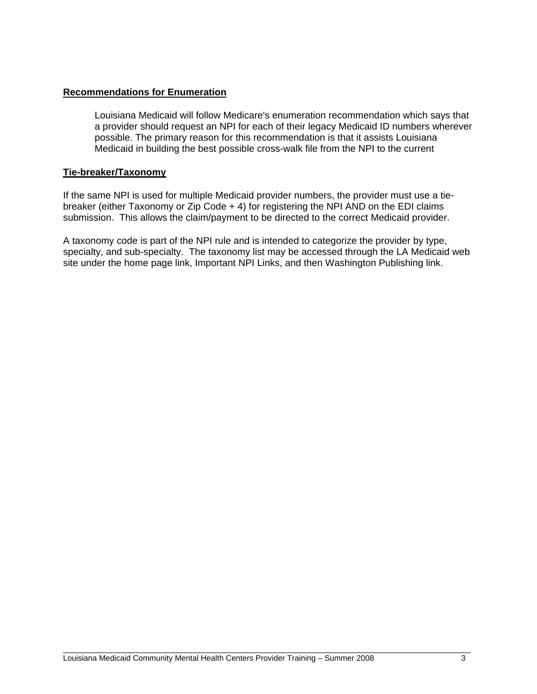### **Recommendations for Enumeration**

Louisiana Medicaid will follow Medicare's enumeration recommendation which says that a provider should request an NPI for each of their legacy Medicaid ID numbers wherever possible. The primary reason for this recommendation is that it assists Louisiana Medicaid in building the best possible cross-walk file from the NPI to the current

#### **Tie-breaker/Taxonomy**

If the same NPI is used for multiple Medicaid provider numbers, the provider must use a tiebreaker (either Taxonomy or Zip Code + 4) for registering the NPI AND on the EDI claims submission. This allows the claim/payment to be directed to the correct Medicaid provider.

A taxonomy code is part of the NPI rule and is intended to categorize the provider by type, specialty, and sub-specialty. The taxonomy list may be accessed through the LA Medicaid web site under the home page link, Important NPI Links, and then Washington Publishing link.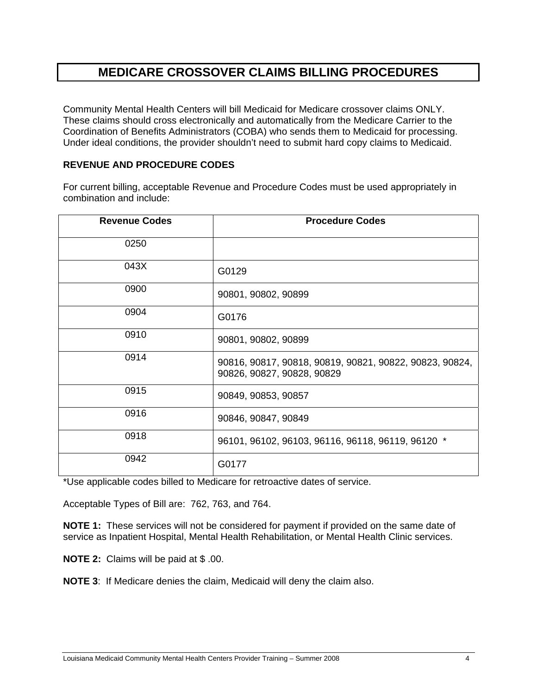# **MEDICARE CROSSOVER CLAIMS BILLING PROCEDURES**

Community Mental Health Centers will bill Medicaid for Medicare crossover claims ONLY. These claims should cross electronically and automatically from the Medicare Carrier to the Coordination of Benefits Administrators (COBA) who sends them to Medicaid for processing. Under ideal conditions, the provider shouldn't need to submit hard copy claims to Medicaid.

# **REVENUE AND PROCEDURE CODES**

For current billing, acceptable Revenue and Procedure Codes must be used appropriately in combination and include:

| <b>Revenue Codes</b> | <b>Procedure Codes</b>                                                                |
|----------------------|---------------------------------------------------------------------------------------|
| 0250                 |                                                                                       |
| 043X                 | G0129                                                                                 |
| 0900                 | 90801, 90802, 90899                                                                   |
| 0904                 | G0176                                                                                 |
| 0910                 | 90801, 90802, 90899                                                                   |
| 0914                 | 90816, 90817, 90818, 90819, 90821, 90822, 90823, 90824,<br>90826, 90827, 90828, 90829 |
| 0915                 | 90849, 90853, 90857                                                                   |
| 0916                 | 90846, 90847, 90849                                                                   |
| 0918                 | 96101, 96102, 96103, 96116, 96118, 96119, 96120 *                                     |
| 0942                 | G0177                                                                                 |

\*Use applicable codes billed to Medicare for retroactive dates of service.

Acceptable Types of Bill are: 762, 763, and 764.

**NOTE 1:** These services will not be considered for payment if provided on the same date of service as Inpatient Hospital, Mental Health Rehabilitation, or Mental Health Clinic services.

**NOTE 2:** Claims will be paid at \$ .00.

**NOTE 3**: If Medicare denies the claim, Medicaid will deny the claim also.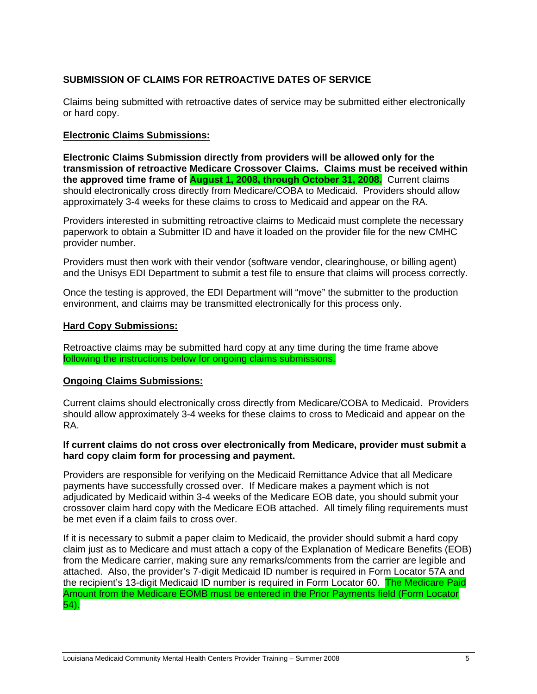# **SUBMISSION OF CLAIMS FOR RETROACTIVE DATES OF SERVICE**

Claims being submitted with retroactive dates of service may be submitted either electronically or hard copy.

## **Electronic Claims Submissions:**

**Electronic Claims Submission directly from providers will be allowed only for the transmission of retroactive Medicare Crossover Claims. Claims must be received within the approved time frame of August 1, 2008, through October 31, 2008.** Current claims should electronically cross directly from Medicare/COBA to Medicaid. Providers should allow approximately 3-4 weeks for these claims to cross to Medicaid and appear on the RA.

Providers interested in submitting retroactive claims to Medicaid must complete the necessary paperwork to obtain a Submitter ID and have it loaded on the provider file for the new CMHC provider number.

Providers must then work with their vendor (software vendor, clearinghouse, or billing agent) and the Unisys EDI Department to submit a test file to ensure that claims will process correctly.

Once the testing is approved, the EDI Department will "move" the submitter to the production environment, and claims may be transmitted electronically for this process only.

#### **Hard Copy Submissions:**

Retroactive claims may be submitted hard copy at any time during the time frame above following the instructions below for ongoing claims submissions.

#### **Ongoing Claims Submissions:**

Current claims should electronically cross directly from Medicare/COBA to Medicaid. Providers should allow approximately 3-4 weeks for these claims to cross to Medicaid and appear on the RA.

#### **If current claims do not cross over electronically from Medicare, provider must submit a hard copy claim form for processing and payment.**

Providers are responsible for verifying on the Medicaid Remittance Advice that all Medicare payments have successfully crossed over. If Medicare makes a payment which is not adjudicated by Medicaid within 3-4 weeks of the Medicare EOB date, you should submit your crossover claim hard copy with the Medicare EOB attached. All timely filing requirements must be met even if a claim fails to cross over.

If it is necessary to submit a paper claim to Medicaid, the provider should submit a hard copy claim just as to Medicare and must attach a copy of the Explanation of Medicare Benefits (EOB) from the Medicare carrier, making sure any remarks/comments from the carrier are legible and attached. Also, the provider's 7-digit Medicaid ID number is required in Form Locator 57A and the recipient's 13-digit Medicaid ID number is required in Form Locator 60. The Medicare Paid Amount from the Medicare EOMB must be entered in the Prior Payments field (Form Locator 54).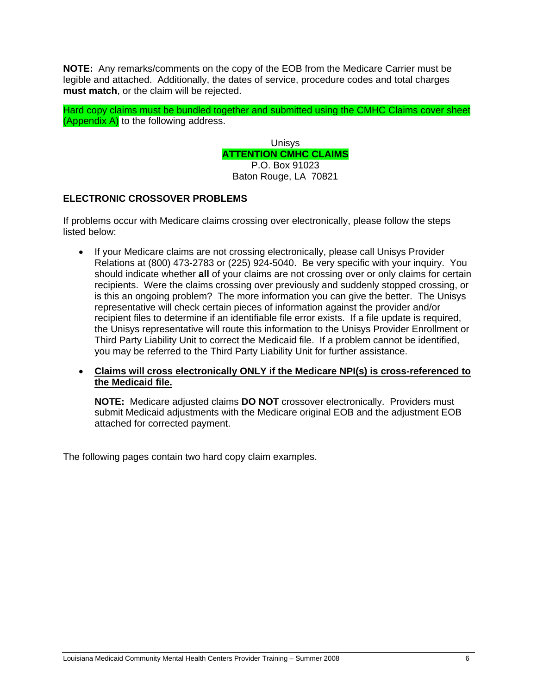**NOTE:** Any remarks/comments on the copy of the EOB from the Medicare Carrier must be legible and attached. Additionally, the dates of service, procedure codes and total charges **must match**, or the claim will be rejected.

Hard copy claims must be bundled together and submitted using the CMHC Claims cover sheet (Appendix A) to the following address.

> Unisys **ATTENTION CMHC CLAIMS** P.O. Box 91023

Baton Rouge, LA 70821

## **ELECTRONIC CROSSOVER PROBLEMS**

If problems occur with Medicare claims crossing over electronically, please follow the steps listed below:

- If your Medicare claims are not crossing electronically, please call Unisys Provider Relations at (800) 473-2783 or (225) 924-5040. Be very specific with your inquiry. You should indicate whether **all** of your claims are not crossing over or only claims for certain recipients. Were the claims crossing over previously and suddenly stopped crossing, or is this an ongoing problem? The more information you can give the better. The Unisys representative will check certain pieces of information against the provider and/or recipient files to determine if an identifiable file error exists. If a file update is required, the Unisys representative will route this information to the Unisys Provider Enrollment or Third Party Liability Unit to correct the Medicaid file. If a problem cannot be identified, you may be referred to the Third Party Liability Unit for further assistance.
- **Claims will cross electronically ONLY if the Medicare NPI(s) is cross-referenced to the Medicaid file.**

**NOTE:** Medicare adjusted claims **DO NOT** crossover electronically. Providers must submit Medicaid adjustments with the Medicare original EOB and the adjustment EOB attached for corrected payment.

The following pages contain two hard copy claim examples.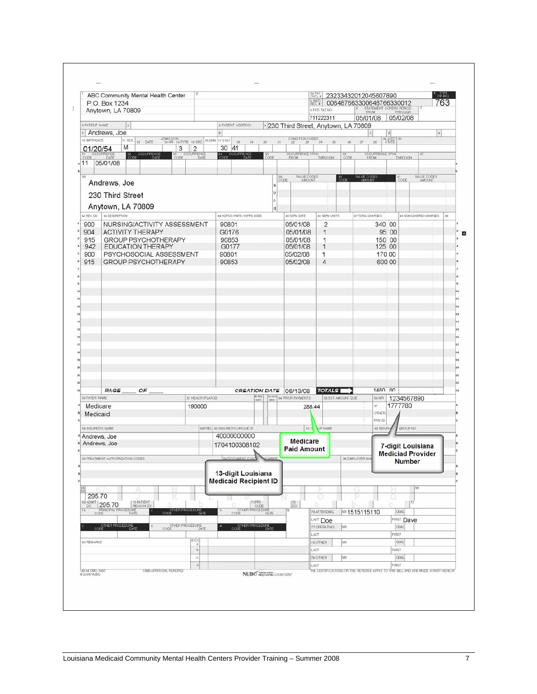|                              | ABC Community Mental Health Center<br>P.O. Box 1234    |                                          |                                                    |                                                                                  | <b>B_MED</b><br>REC.#<br>5 FED. TAX NO. | ENTL# 23233432012045607890<br>006487663300648766330012 |                                                                                  | $^4$ of Bill<br>763 |
|------------------------------|--------------------------------------------------------|------------------------------------------|----------------------------------------------------|----------------------------------------------------------------------------------|-----------------------------------------|--------------------------------------------------------|----------------------------------------------------------------------------------|---------------------|
|                              | Anytown, LA 70809                                      |                                          |                                                    |                                                                                  | 711222311                               | 05/01/08                                               | STATEMENT COVERS PERIOD<br>FROM THROUGH<br>05/02/08                              |                     |
| 8 PATIENT NAME               |                                                        |                                          | <b>9 PATIENT ADDRESS</b>                           | 230 Third Street, Anytown, LA 70809                                              |                                         |                                                        |                                                                                  |                     |
| 10 BIRTHDATE                 | Andrews, Joe<br>11 SEX 12 DATE                         | ADMISSION<br>18 HR 14 TYPE 15 SRC 16 DHR | 17 STAT<br>$.18 -$<br>$19 -$                       | $\frac{\text{CONDITION} \cdot \text{CODES}}{22}$ 24<br>$^{20}$<br>$\frac{1}{21}$ | $\mathbf{x}$                            | det<br>27<br>$-28$                                     | $\begin{array}{ c c }\hline 29 ACDT & 30 \\ \hline \texttt{STATE} & \end{array}$ |                     |
| 01/20/54                     | M<br>3                                                 | $\overline{2}$<br>OCCURRENCE             | 30 41                                              |                                                                                  |                                         |                                                        |                                                                                  |                     |
| 31 OCCURRENCE<br>11 05/01/08 | 32 OCCURRENCE<br>33<br>CODE                            |                                          | 34 OCCURRENCE                                      | 35<br>CODE                                                                       | OCCURRENCE SPAN THROUGH                 | 36<br>CODE                                             | OCCURRENCE SPAN                                                                  |                     |
| 38                           | Andrews, Joe                                           |                                          |                                                    | 39<br>CODE<br>$\overline{a}$                                                     | VALUE CODES<br>AMOUNT                   | VALUE CODES<br>$\cos$                                  | $\frac{41}{0.005}$                                                               | VALUE CODES         |
|                              | 230 Third Street                                       |                                          |                                                    |                                                                                  |                                         |                                                        |                                                                                  |                     |
| 42 REV. CD.                  | Anytown, LA 70809<br>43 DESCRIPTION                    |                                          | 44 HOPOS / RATE / HIPPS CODE                       | 45 SERV. DATE                                                                    | 46 SERV. UNITS                          | 47 TOTAL CHARGES                                       | 48 NON-COVERED CHARGES                                                           | 49                  |
| 900                          | NURSING/ACTIVITY ASSESSMENT                            |                                          | 90801                                              | 05/01/08                                                                         | $\overline{2}$                          |                                                        | 340 00                                                                           |                     |
| 904                          | <b>ACTIVITY THERAPY</b>                                |                                          | G0176                                              | 05/01/08                                                                         | 1                                       |                                                        | 95 00                                                                            |                     |
| 915<br>942                   | <b>GROUP PSYCHOTHERAPY</b><br><b>EDUCATION THERAPY</b> |                                          | 90853<br>G0177                                     | 05/01/08<br>05/01/08                                                             | 1<br>1                                  |                                                        | 150 00<br>125 00                                                                 |                     |
| 900                          | PSYCHOSOCIAL ASSESSMENT                                |                                          | 90801                                              | 05/02/08                                                                         | 1                                       |                                                        | 170 00                                                                           |                     |
| 915                          | <b>GROUP PSYCHOTHERAPY</b>                             |                                          | 90853                                              | 05/02/08                                                                         | 4                                       |                                                        | 600 00                                                                           |                     |
|                              |                                                        |                                          |                                                    |                                                                                  |                                         |                                                        |                                                                                  |                     |
|                              |                                                        |                                          |                                                    |                                                                                  |                                         |                                                        |                                                                                  |                     |
|                              |                                                        |                                          |                                                    |                                                                                  |                                         |                                                        |                                                                                  |                     |
|                              |                                                        |                                          |                                                    |                                                                                  |                                         |                                                        |                                                                                  |                     |
|                              |                                                        |                                          |                                                    |                                                                                  |                                         |                                                        |                                                                                  |                     |
|                              |                                                        |                                          |                                                    |                                                                                  |                                         |                                                        |                                                                                  |                     |
|                              |                                                        |                                          |                                                    |                                                                                  |                                         |                                                        |                                                                                  |                     |
|                              |                                                        |                                          |                                                    |                                                                                  |                                         |                                                        |                                                                                  |                     |
|                              |                                                        |                                          |                                                    |                                                                                  |                                         |                                                        |                                                                                  |                     |
|                              |                                                        |                                          |                                                    |                                                                                  |                                         |                                                        |                                                                                  |                     |
|                              |                                                        |                                          |                                                    |                                                                                  |                                         |                                                        |                                                                                  |                     |
|                              |                                                        |                                          |                                                    |                                                                                  |                                         |                                                        |                                                                                  |                     |
| 50 PAYER NAME                | PAGE<br>OF                                             | 51 HEALTH PLAN ID                        | $R$ REL                                            | CREATION DATE 06/13/08<br><b>53 ASG</b> 54 PRIOR PAYMENTS                        | <b>TOTALS</b>                           | 55 EST. AMOUNT DUE                                     | 1480 00<br>56 NPI<br>1234567890                                                  |                     |
| Medicare                     |                                                        | 190000                                   |                                                    |                                                                                  | 288.44                                  |                                                        | 1777780<br>57                                                                    |                     |
| Medicaid                     |                                                        |                                          |                                                    |                                                                                  |                                         |                                                        | OTHER                                                                            |                     |
| 58 INSURED'S NAME            |                                                        |                                          | SPPPEL 60 INSURED'S UNIQUE ID                      |                                                                                  | 61 G UP NAME                            |                                                        | PRV ID<br>GROUP NO.<br>62 INSUR                                                  |                     |
| Andrews, Joe                 |                                                        |                                          | 40000000000                                        |                                                                                  |                                         |                                                        |                                                                                  |                     |
| Andrews, Joe                 |                                                        |                                          | 1704100308102                                      | <b>Medicare</b>                                                                  |                                         |                                                        | 7-digit Louisiana                                                                |                     |
|                              |                                                        |                                          |                                                    | <b>Paid Amount</b>                                                               |                                         | 65 EMPLOYER NAM                                        | <b>Mediciad Provider</b>                                                         |                     |
|                              | 63 TREATMENT AUTHORIZATION CODES                       |                                          | 64 DOCUMENT CONT MUMBER                            |                                                                                  |                                         |                                                        | Number                                                                           |                     |
|                              |                                                        |                                          | 13-digit Louisiana<br><b>Medicaid Recipient ID</b> |                                                                                  |                                         |                                                        | 168                                                                              |                     |
| 295.70                       |                                                        |                                          |                                                    |                                                                                  | o                                       |                                                        |                                                                                  |                     |
| 69 ADMIT 295.70              | 70 PATIENT<br>REASON DX                                |                                          | 71 PPS<br>CODE                                     | $\frac{72}{ECL}$                                                                 |                                         |                                                        | 173                                                                              |                     |
| 74                           | PRINCIPAL PROCEDURE<br>CODE DATE<br>DATE               | OTHER PROCEDURE<br>DATE                  | OTHER PROCEDURE<br>CODE                            | DATE                                                                             | 76 AT TENDING                           | MP 1515115110                                          | <b>OUAL</b>                                                                      |                     |
|                              | CODE PROCEDURE                                         | OTHER PROCEDURE<br>CODE                  | OTHER PROCEDURE                                    |                                                                                  | LAST Doe<br>77 OPERATING                | hЕ                                                     | <b>FIRST Dave</b><br><b>OUAL</b>                                                 |                     |
|                              |                                                        |                                          |                                                    |                                                                                  | LAST                                    |                                                        | FIRST                                                                            |                     |
| 80 REMARKS                   |                                                        | $rac{c}{a}$                              |                                                    |                                                                                  | 78 OTHER                                | NR                                                     | <b>OUAL</b>                                                                      |                     |
|                              |                                                        | b                                        |                                                    |                                                                                  | LAST                                    |                                                        | FIRST                                                                            |                     |
|                              |                                                        | $\ddot{\rm{c}}$<br>$\mathbf d$           |                                                    |                                                                                  | 79 OTHER<br>LAST                        | NR                                                     | <b>OUAL</b><br>FIRST                                                             |                     |
|                              | OMB APPROVAL PENDING<br>UB-04 CMS-1450                 |                                          |                                                    | NUBC <sup>"</sup> hangtomme LIC9213257                                           |                                         |                                                        | THE CERTIFICATIONS ON THE REVERSE APPLY TO THIS BILL AND ARE MADE A PART HEREOF  |                     |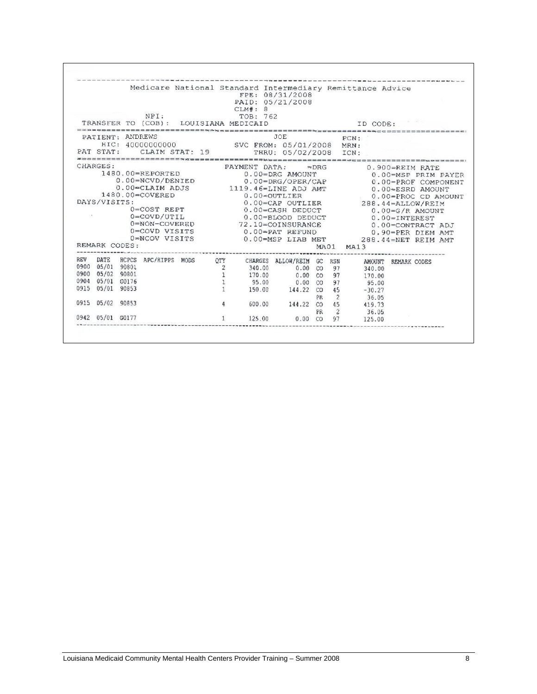|      |                  |       |                                           |                | CLM#: 8                                           | Medicare National Standard Intermediary Remittance Advice<br>FPE: 08/31/2008<br>PAID: 05/21/2008 |               |      |                     |                     |  |
|------|------------------|-------|-------------------------------------------|----------------|---------------------------------------------------|--------------------------------------------------------------------------------------------------|---------------|------|---------------------|---------------------|--|
|      |                  |       | NPI:                                      |                | TOB: 762<br>TRANSFER TO (COB): LOUISIANA MEDICAID |                                                                                                  |               |      | ID CODE:            |                     |  |
|      | PATIENT: ANDREWS |       |                                           |                |                                                   | JOE                                                                                              |               |      | PCN:                |                     |  |
|      |                  |       |                                           |                |                                                   | HIC: 40000000000 SVC FROM: 05/01/2008 MRN:                                                       |               |      |                     |                     |  |
|      |                  |       | PAT STAT: CLAIM STAT: 19                  |                |                                                   | THRU: 05/02/2008 ICN:                                                                            |               |      |                     |                     |  |
|      | CHARGES:         |       |                                           |                | PAYMENT DATA:                                     |                                                                                                  | $\approx$ DRG |      |                     | 0.900=REIM RATE     |  |
|      |                  |       | 1480.00=REPORTED                          |                |                                                   | 0.00=DRG AMOUNT                                                                                  |               |      | 0.00=MSP PRIM PAYER |                     |  |
|      |                  |       | 0.00=NCVD/DENIED                          |                |                                                   | $0.00 = DRG/OPER/CAP$                                                                            |               |      | 0.00=PROF COMPONENT |                     |  |
|      |                  |       |                                           |                |                                                   | 0.00=CLAIM ADJS 1119.46=LINE ADJ AMT                                                             |               |      | 0.00 ESRD AMOUNT    |                     |  |
|      |                  |       | 1480.00=COVERED                           |                | $0.00$ $<$ OUTLIER                                |                                                                                                  |               |      | 0.00=PROC CD AMOUNT |                     |  |
|      | DAYS/VISITS:     |       |                                           |                |                                                   | $0.00 =$ CAP OUTLIER                                                                             |               |      | 288.44=ALLOW/REIM   |                     |  |
|      |                  |       | $0 = COST$ REPT                           |                |                                                   | $0.00 = CASH$ DEDUCT                                                                             |               |      |                     | $0.00 = G/R$ AMOUNT |  |
|      |                  |       | $0 = \text{Cov}$ $\text{U}$ $\text{T}$ IL |                |                                                   | 0.00=BLOOD DEDUCT                                                                                |               |      |                     | $0.00 = INTEREST$   |  |
|      |                  |       | 0=NON-COVERED                             |                |                                                   | 72.10=COINSURANCE                                                                                |               |      | 0.00=CONTRACT ADJ   |                     |  |
|      |                  |       | 0=COVD VISITS                             |                |                                                   | $0.00 = PAT$ REFUND                                                                              |               |      | 0.90=PER DIEM AMT   |                     |  |
|      |                  |       | 0*NCOV VISITS                             |                |                                                   | 0.00=MSP LIAB MET                                                                                |               |      | 288.44=NET REIM AMT |                     |  |
|      | REMARK CODES:    |       |                                           |                |                                                   |                                                                                                  |               | MA01 | MA13                |                     |  |
| REV  | DATE             |       | HCPCS APC/HIPPS MODS OTY                  |                |                                                   | CHARGES ALLOW/REIM GC RSN                                                                        |               |      | AMOUNT REMARK CODES |                     |  |
|      | 0900 05/01       | 90801 |                                           | $\overline{2}$ | 340.00                                            | $0.00 \quad CO \quad 97$                                                                         |               |      | 340.00              |                     |  |
|      | 0900 05/02       | 90801 |                                           | $\overline{1}$ |                                                   | 170.00 0.00 CO 97                                                                                |               |      | 170.00              |                     |  |
|      | 0904 05/01 G0176 |       |                                           |                |                                                   | 95.00 0.00 CO 97                                                                                 |               |      | 95.00               |                     |  |
|      | 0915 05/01 90853 |       |                                           |                |                                                   | 150.00 144.22 CO                                                                                 |               | 45   | $-30.27$            |                     |  |
|      |                  |       |                                           |                |                                                   |                                                                                                  | PR            | 2    | 36.05               |                     |  |
|      | 0915 05/02 90853 |       |                                           | $\overline{4}$ | 600.00                                            | 144.22 CO 45                                                                                     |               |      | 419.73              |                     |  |
|      |                  |       |                                           |                |                                                   |                                                                                                  | PR            | 2    | 36.05               |                     |  |
| 0942 | 05/01 G0177      |       |                                           |                | 125.00                                            | 0.00                                                                                             | CO            | 97   | 125,00              |                     |  |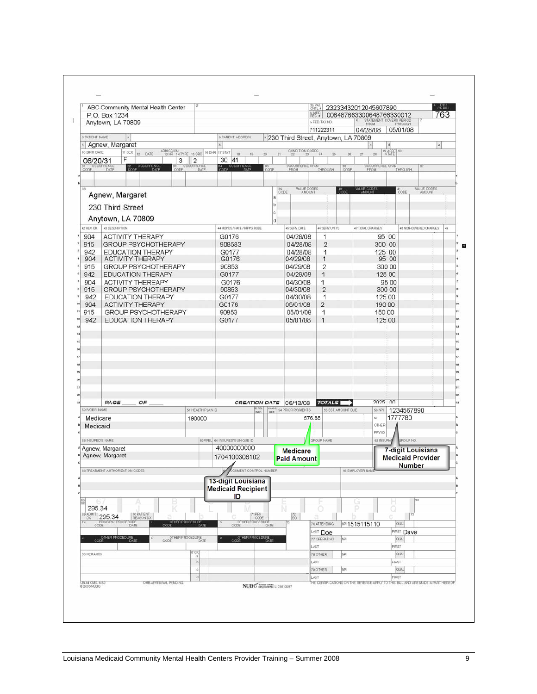|                    | ABC Community Mental Health Center<br>P.O. Box 1234    |                                   |                                                   |                                            |                                                  | 3a PAT<br>CNTL #<br><b>B_MED</b><br>REC. # | 23233432012045607890<br>006487663300648766330012                                |                                                    | OF BILL<br>763               |
|--------------------|--------------------------------------------------------|-----------------------------------|---------------------------------------------------|--------------------------------------------|--------------------------------------------------|--------------------------------------------|---------------------------------------------------------------------------------|----------------------------------------------------|------------------------------|
|                    | Anytown, LA 70809                                      |                                   |                                                   |                                            |                                                  | 5 FED. TAX NO.                             |                                                                                 | STATEMENT COVERS PERIOD<br>FROM THROUGH<br>THROUGH |                              |
| 8 PATIENT NAME     |                                                        |                                   | 9 PATIENT ADDRESS                                 |                                            | <sup>2</sup> 230 Third Street, Anytown, LA 70809 | 711222311                                  | 04/28/08                                                                        | 05/01/08                                           |                              |
|                    | <b>Margaret</b> Margaret                               |                                   |                                                   |                                            |                                                  |                                            |                                                                                 | d                                                  |                              |
| 10 BIRTHDATE       | 11 SEX 12 DATE<br>F                                    |                                   | ADMISSION 14 TYPE 15 SRC 16 DHR 17 STAT<br>$18 -$ | 20 <sub>2</sub><br>19.                     | CONDITION CODES 24<br>21                         | $\infty$                                   | 26.<br>$27$<br>28                                                               | 29 ACDT<br>STATE                                   |                              |
| 06/20/31<br>CODE   | CCURRENCE<br>$\frac{32}{\text{CODE}}$<br>DATE          | 3<br>$\overline{2}$<br>OCCURRENCE | 30 41<br>34 OCCURRENCE                            | $\frac{35}{CODE}$                          | <b>OCCURRENCE SPAN</b>                           | THROUGH                                    | OCCURRENCE SPAN<br>36<br>CODE                                                   | THROUGH                                            |                              |
|                    |                                                        |                                   |                                                   |                                            |                                                  |                                            |                                                                                 |                                                    |                              |
| 38                 |                                                        |                                   |                                                   |                                            | VALUE CODES<br>39<br>CODE                        |                                            | VALUE CODE<br>200E                                                              | $141$ CODE                                         | VALUE CODES                  |
|                    | Agnew, Margaret                                        |                                   |                                                   | ā<br>b                                     |                                                  |                                            |                                                                                 |                                                    |                              |
|                    | 230 Third Street                                       |                                   |                                                   |                                            |                                                  |                                            |                                                                                 |                                                    |                              |
|                    | Anytown, LA 70809                                      |                                   |                                                   | d                                          |                                                  |                                            |                                                                                 |                                                    |                              |
| 42 REV. CD.<br>904 | 43 DESCRIPTION                                         |                                   | 44 HOPCS / RATE / HIPPS CODE<br>G0176             |                                            | 45 SERV. DATE<br>04/28/08                        | 46 SERV. UNITS                             | 47 TOTAL CHARGES                                                                | 95 00                                              | 48 NON-COVERED CHARGES<br>49 |
| 915                | <b>ACTIVITY THERAPY</b><br><b>GROUP PSYCHOTHERAPY</b>  |                                   | 908583                                            |                                            | 04/28/08                                         | 1<br>$\overline{2}$                        |                                                                                 | 300 00                                             |                              |
| 942                | <b>EDUCATION THERAPY</b>                               |                                   | G0177                                             |                                            | 04/28/08                                         | 1                                          |                                                                                 | 125 00                                             |                              |
| 904                | <b>ACTIVITY THERAPY</b>                                |                                   | G0176                                             |                                            | 04/29/08                                         | 1                                          |                                                                                 | 95 00                                              |                              |
| 915                | <b>GROUP PSYCHOTHERAPY</b>                             |                                   | 90853<br>G0177                                    |                                            | 04/29/08<br>04/29/08                             | $\overline{c}$<br>1                        |                                                                                 | 300 00<br>125 00                                   |                              |
| 942<br>904         | <b>EDUCATION THERAPY</b><br><b>ACTIVITY THEREAPY</b>   |                                   | G0176                                             |                                            | 04/30/08                                         | 1                                          |                                                                                 | 95 00                                              |                              |
| 915                | <b>GROUP PSYCHOTHERAPY</b>                             |                                   | 90853                                             |                                            | 04/30/08                                         | $\overline{2}$                             |                                                                                 | 300 00                                             |                              |
| 942                | <b>EDUCATION THERAPY</b>                               |                                   | G0177                                             |                                            | 04/30/08                                         | 1                                          |                                                                                 | 125 00                                             |                              |
| 904                | <b>ACTIVITY THERAPY</b>                                |                                   | G0176                                             |                                            | 05/01/08                                         | $\overline{2}$                             |                                                                                 | 190 00                                             |                              |
| 915<br>942         | <b>GROUP PSYCHOTHERAPY</b><br><b>EDUCATION THERAPY</b> |                                   | 90853<br>G0177                                    |                                            | 05/01/08<br>05/01/08                             | 1<br>$\overline{1}$                        |                                                                                 | 150 00<br>125 00                                   |                              |
|                    |                                                        |                                   |                                                   |                                            |                                                  |                                            |                                                                                 |                                                    |                              |
|                    |                                                        |                                   |                                                   |                                            |                                                  |                                            |                                                                                 |                                                    |                              |
|                    |                                                        |                                   |                                                   |                                            |                                                  |                                            |                                                                                 |                                                    |                              |
|                    |                                                        |                                   |                                                   |                                            |                                                  |                                            |                                                                                 |                                                    |                              |
|                    |                                                        |                                   |                                                   |                                            |                                                  |                                            |                                                                                 |                                                    |                              |
|                    |                                                        |                                   |                                                   |                                            |                                                  |                                            |                                                                                 |                                                    |                              |
|                    |                                                        |                                   |                                                   |                                            |                                                  |                                            |                                                                                 |                                                    |                              |
|                    |                                                        |                                   |                                                   |                                            |                                                  |                                            |                                                                                 |                                                    |                              |
| 50 PAYER NAME      | OF<br>PAGE                                             |                                   | 51 HEALTH PLAN ID                                 | <b>PREL</b><br><b>53 ASG</b>               | CREATION DATE 06/13/08<br>54 PRIOR PAYMENTS      | <b>TOTALS</b><br>55 EST. AMOUNT DUE        | <b>56 NPI</b>                                                                   | 2025 00<br>1234567890                              |                              |
| Medicare           |                                                        | 190000                            |                                                   |                                            | 576.88                                           |                                            | 57                                                                              | 1777780                                            |                              |
| Medicaid           |                                                        |                                   |                                                   |                                            |                                                  |                                            | OTHER                                                                           |                                                    |                              |
|                    |                                                        |                                   |                                                   |                                            |                                                  |                                            | PRV ID                                                                          |                                                    |                              |
| 58 INSURED'S NAME  | Agnew, Margaret                                        |                                   | 59 P. FEL 60 INSURED'S UNIQUE ID<br>40000000000   |                                            |                                                  | <b>GROUP NAME</b>                          | 62 INSURA                                                                       | GROUP NO.<br>7-digit Louisiana                     |                              |
|                    | Agnew, Margaret                                        |                                   | 1704100308102                                     |                                            | <b>Medicare</b><br><b>Paid Amount</b>            |                                            |                                                                                 | <b>Medicaid Provider</b>                           |                              |
|                    | 63 TREATMENT AUTHORIZATION CODES                       |                                   | ◢                                                 | <b>CUMENT CONTROL NUMBER</b>               |                                                  |                                            | 65 EMPLOYER NAME                                                                | <b>Number</b>                                      |                              |
|                    |                                                        |                                   | 13-digit Louisiana                                |                                            |                                                  |                                            |                                                                                 |                                                    |                              |
|                    |                                                        |                                   | <b>Medicaid Recipient</b>                         |                                            |                                                  |                                            |                                                                                 |                                                    |                              |
|                    |                                                        |                                   | ID                                                |                                            |                                                  |                                            | Uз                                                                              |                                                    |                              |
| 295.34             | 69 ADMIT 295.34<br>70 PATIENT                          |                                   |                                                   | '1 PPS                                     |                                                  |                                            |                                                                                 | 73                                                 |                              |
| 74<br>CODE         | REASON DX<br>PRINCIPAL PROCEDURE<br>DATE               | OTHER PROCEDURE<br>CODE DATE      | CODE                                              | CODE<br>OTHER PROCEDURE<br>DATE            | ECI                                              | 76 ATTENDING                               | MP 1515115110                                                                   | <b>OUAL</b>                                        |                              |
|                    |                                                        |                                   |                                                   |                                            |                                                  | LAST Doe                                   |                                                                                 | <b>FIRST Dave</b>                                  |                              |
|                    | OTHER PROCEDURE                                        | OTHER PROCEDURE<br>CODE           |                                                   | OTHER PROCEDURE                            |                                                  | 77 OPERATING                               | <b>NR</b>                                                                       | <b>OUAL</b>                                        |                              |
| 80 FIEMARKS        |                                                        | $rac{c}{a}$                       |                                                   |                                            |                                                  | LAST<br>78 OTHER                           | NR                                                                              | FIRST<br><b>OUAL</b>                               |                              |
|                    |                                                        | $\mathfrak b$                     |                                                   |                                            |                                                  | LAST                                       |                                                                                 | FIRST                                              |                              |
|                    |                                                        | $\dot{\rm o}$                     |                                                   |                                            |                                                  | 79 OTHER                                   | NP                                                                              | <b>OUAL</b>                                        |                              |
|                    | OMB APPROVAL PENDING                                   | $\mathbf d$                       |                                                   |                                            |                                                  | LAST                                       | THE CERTIFICATIONS ON THE REVERSE APPLY TO THIS BILL AND ARE MADE A PART HEREOF | FIRST                                              |                              |
| UB-04 CMS-1450     |                                                        |                                   |                                                   | NUBC <sup>"</sup> habout United LIC9213257 |                                                  |                                            |                                                                                 |                                                    |                              |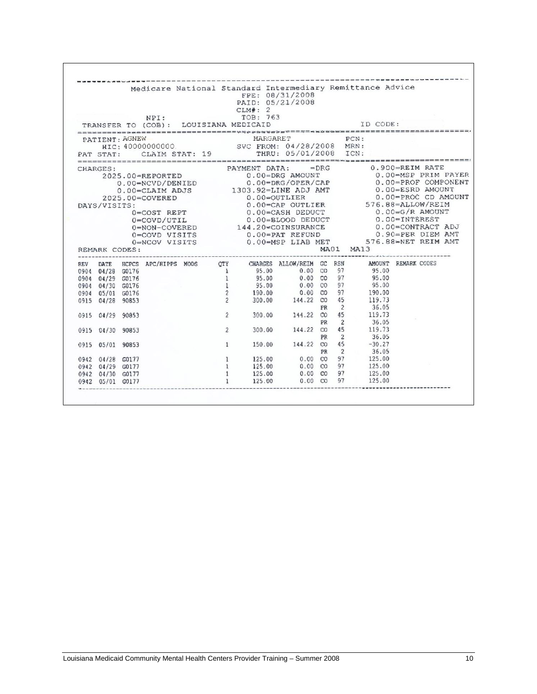|            |                  |                  |                 | NPI: |                | Medicare National Standard Intermediary Remittance Advice<br>CLM#: 2<br>TOB: 763<br>TRANSFER TO (COB): LOUISIANA MEDICAID                                                                                                                                    | FPE: 08/31/2008<br>PAID: 05/21/2008                                                                                  |           |                | ID CODE:                                     |                     |  |
|------------|------------------|------------------|-----------------|------|----------------|--------------------------------------------------------------------------------------------------------------------------------------------------------------------------------------------------------------------------------------------------------------|----------------------------------------------------------------------------------------------------------------------|-----------|----------------|----------------------------------------------|---------------------|--|
|            | PATIENT: AGNEW   |                  |                 |      |                | MARGARET<br>ENT: 40000000000. SVC FROM: 04/28/2008 MRN:<br>PAT STAT: CLAIM STAT: 19 THRU: 05/01/2008 ICN:                                                                                                                                                    |                                                                                                                      |           | PCN:           |                                              |                     |  |
|            | CHARGES:         |                  |                 |      |                | ES:<br>2025.00=REPORTED PAYMENT DATA: =DRG 0.900=REIM RATE<br>2025.00=REPORTED 0.00=DRG/OPER/CAP 0.00=PROF COMPONENT<br>20.00=PROF COMPONENT 0.00=PROF COMPONENT                                                                                             |                                                                                                                      |           |                |                                              |                     |  |
|            |                  |                  |                 |      |                |                                                                                                                                                                                                                                                              |                                                                                                                      |           |                |                                              | 0.00=MSP PRIM PAYER |  |
|            |                  |                  |                 |      |                |                                                                                                                                                                                                                                                              |                                                                                                                      |           |                |                                              |                     |  |
|            |                  |                  |                 |      |                | $0.00 = \text{CLAIM ADJS}$ 1303.92=LINE ADJ AMT                                                                                                                                                                                                              |                                                                                                                      |           |                | 0.00=ESRD AMOUNT<br>0.00=PROC CD AMOUNT      |                     |  |
|            |                  |                  | 2025.00=COVERED |      |                | 0.00=OUTLIER                                                                                                                                                                                                                                                 |                                                                                                                      | t i grens |                |                                              |                     |  |
|            | DAYS/VISITS:     |                  |                 |      |                | 0.00=CAP OUTLIER 576.88=ALLOW/REIM                                                                                                                                                                                                                           |                                                                                                                      |           |                |                                              |                     |  |
|            |                  |                  |                 |      |                | $\begin{tabular}{lllllllllllllllllll} 0= \texttt{COST} & \texttt{REPT} & \texttt{0.00=CASH} & \texttt{DEDUCT} & \texttt{0.00=G/R} & \texttt{AMOUNT} \\ 0= \texttt{COVD/UTIL} & \texttt{0.00=BLOOD} & \texttt{DEDUCT} & \texttt{0.00=INTEREST} \end{tabular}$ |                                                                                                                      |           |                |                                              |                     |  |
|            |                  |                  |                 |      |                |                                                                                                                                                                                                                                                              |                                                                                                                      |           |                |                                              |                     |  |
|            |                  |                  |                 |      |                |                                                                                                                                                                                                                                                              |                                                                                                                      |           |                |                                              |                     |  |
|            |                  |                  |                 |      |                |                                                                                                                                                                                                                                                              |                                                                                                                      |           |                |                                              |                     |  |
|            |                  |                  |                 |      |                | 0=COVD/UTIL<br>0=NON-COVERED<br>0=COVD VISITS<br>0=COVD VISITS<br>0=NCOV VISITS<br>0=NCOV VISITS<br>0-00=PAT REFUND<br>0-00=PAT REFUND<br>0-00=PAT REFUND<br>0-00=PAT REFUND<br>0-00=PAT REFUND<br>0-00=PAT REFUND<br>0-00=PAT REFUND<br>0-00=PAT REFUND     |                                                                                                                      |           |                |                                              |                     |  |
|            | REMARK CODES:    |                  |                 |      |                | --------------------                                                                                                                                                                                                                                         |                                                                                                                      |           | MA01 MA13      | ---------------- <b>--------</b> ----------- |                     |  |
| <b>REV</b> |                  |                  |                 |      |                | DATE HCPCS APC/HIPPS MODS OTY CHARGES ALLOW/REIM GC RSN                                                                                                                                                                                                      |                                                                                                                      |           |                | AMOUNT REMARK CODES                          |                     |  |
|            | 0904 04/28 G0176 |                  |                 |      |                | $\begin{array}{cccccc} 1 & \quad & 95.00 & \quad & 0.00 & \text{CO} & \text{97} & \quad & 95.00 \\ 1 & \quad & 95.00 & \quad & 0.00 & \text{CO} & \text{97} & \quad & 95.00 \end{array}$                                                                     |                                                                                                                      |           |                |                                              |                     |  |
|            | 0904 04/29 G0176 |                  |                 |      |                |                                                                                                                                                                                                                                                              |                                                                                                                      |           |                |                                              |                     |  |
|            | 0904 04/30 G0176 |                  |                 |      | 1              | 95.00 0.00 CO 97 95.00<br>190.00 0.00 CO 97 190.00<br>300.00 144.22 CO 45 119.73                                                                                                                                                                             |                                                                                                                      |           |                |                                              |                     |  |
|            | 0904 05/01 G0176 |                  |                 |      | $\overline{2}$ |                                                                                                                                                                                                                                                              |                                                                                                                      |           |                |                                              |                     |  |
|            | 0915 04/28 90853 |                  |                 |      | $\overline{2}$ |                                                                                                                                                                                                                                                              |                                                                                                                      |           |                |                                              |                     |  |
|            |                  |                  |                 |      |                |                                                                                                                                                                                                                                                              |                                                                                                                      |           | $PR$ 2         | 36.05<br>119.73                              |                     |  |
|            | 0915 04/29 90853 |                  |                 |      | $\overline{2}$ |                                                                                                                                                                                                                                                              | 300.00 144.22 CO 45                                                                                                  |           |                |                                              |                     |  |
|            |                  |                  |                 |      |                |                                                                                                                                                                                                                                                              |                                                                                                                      | PR        | $\overline{2}$ | $36.05$<br>119.73                            |                     |  |
|            | 0915 04/30 90853 |                  |                 |      | $\overline{c}$ |                                                                                                                                                                                                                                                              | 300.00 144.22 CO 45                                                                                                  | PR        | $\overline{c}$ | 36.05                                        |                     |  |
|            | 0915 05/01 90853 |                  |                 |      | $\mathbf{1}$   | 150.00                                                                                                                                                                                                                                                       |                                                                                                                      |           |                | 144.22 CO 45 -30.27                          |                     |  |
|            |                  |                  |                 |      |                |                                                                                                                                                                                                                                                              |                                                                                                                      |           | PR 2           | 36.05                                        |                     |  |
|            | 0942 04/28 G0177 |                  |                 |      | $\mathbf{1}$   |                                                                                                                                                                                                                                                              | PR 2 36.05<br>125.00 0.00 CO 97 125.00                                                                               |           |                |                                              |                     |  |
|            | 0942 04/29 G0177 |                  |                 |      | $\mathbf{1}$   |                                                                                                                                                                                                                                                              |                                                                                                                      |           |                |                                              |                     |  |
|            | 0942 04/30 G0177 |                  |                 |      | 1              | 125.00                                                                                                                                                                                                                                                       | $\begin{array}{cccc} 125.00 & 0.00 & \text{CO} & 97 & 125.00 \\ 125.00 & 0.00 & \text{CO} & 97 & 125.00 \end{array}$ |           |                |                                              |                     |  |
|            |                  | 0942 05/01 G0177 |                 |      |                | 125.00                                                                                                                                                                                                                                                       | $0.00$ CO                                                                                                            |           | 97             | 125.00                                       |                     |  |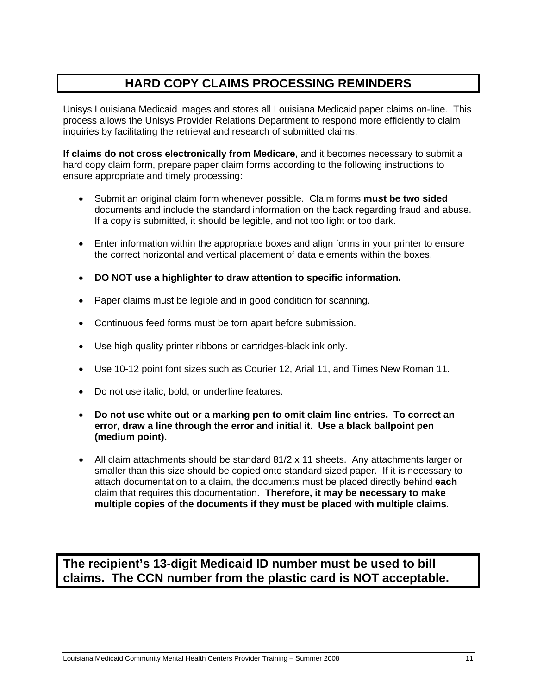# **HARD COPY CLAIMS PROCESSING REMINDERS**

Unisys Louisiana Medicaid images and stores all Louisiana Medicaid paper claims on-line. This process allows the Unisys Provider Relations Department to respond more efficiently to claim inquiries by facilitating the retrieval and research of submitted claims.

**If claims do not cross electronically from Medicare**, and it becomes necessary to submit a hard copy claim form, prepare paper claim forms according to the following instructions to ensure appropriate and timely processing:

- Submit an original claim form whenever possible. Claim forms **must be two sided** documents and include the standard information on the back regarding fraud and abuse. If a copy is submitted, it should be legible, and not too light or too dark.
- Enter information within the appropriate boxes and align forms in your printer to ensure the correct horizontal and vertical placement of data elements within the boxes.
- **DO NOT use a highlighter to draw attention to specific information.**
- Paper claims must be legible and in good condition for scanning.
- Continuous feed forms must be torn apart before submission.
- Use high quality printer ribbons or cartridges-black ink only.
- Use 10-12 point font sizes such as Courier 12, Arial 11, and Times New Roman 11.
- Do not use italic, bold, or underline features.
- **Do not use white out or a marking pen to omit claim line entries. To correct an error, draw a line through the error and initial it. Use a black ballpoint pen (medium point).**
- All claim attachments should be standard 81/2 x 11 sheets. Any attachments larger or smaller than this size should be copied onto standard sized paper. If it is necessary to attach documentation to a claim, the documents must be placed directly behind **each** claim that requires this documentation. **Therefore, it may be necessary to make multiple copies of the documents if they must be placed with multiple claims**.

**The recipient's 13-digit Medicaid ID number must be used to bill claims. The CCN number from the plastic card is NOT acceptable.**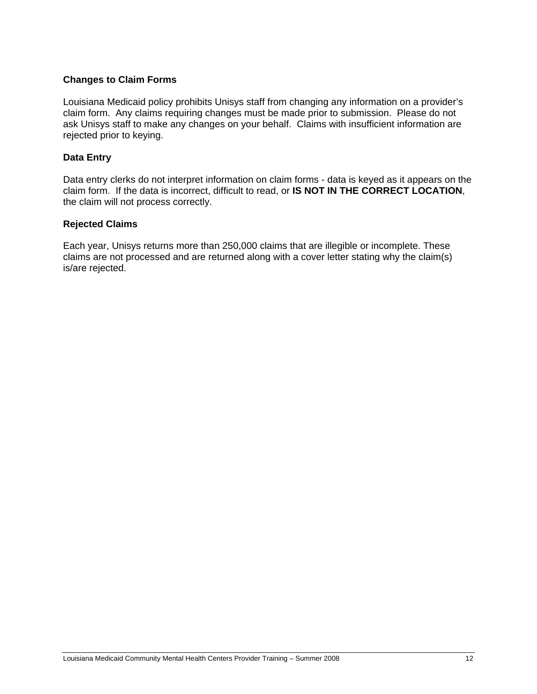## **Changes to Claim Forms**

Louisiana Medicaid policy prohibits Unisys staff from changing any information on a provider's claim form. Any claims requiring changes must be made prior to submission. Please do not ask Unisys staff to make any changes on your behalf. Claims with insufficient information are rejected prior to keying.

## **Data Entry**

Data entry clerks do not interpret information on claim forms - data is keyed as it appears on the claim form. If the data is incorrect, difficult to read, or **IS NOT IN THE CORRECT LOCATION**, the claim will not process correctly.

## **Rejected Claims**

Each year, Unisys returns more than 250,000 claims that are illegible or incomplete. These claims are not processed and are returned along with a cover letter stating why the claim(s) is/are rejected.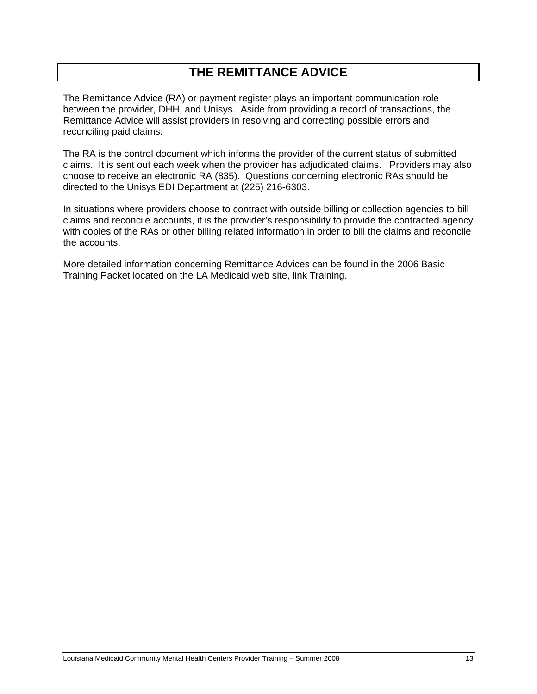# **THE REMITTANCE ADVICE**

The Remittance Advice (RA) or payment register plays an important communication role between the provider, DHH, and Unisys. Aside from providing a record of transactions, the Remittance Advice will assist providers in resolving and correcting possible errors and reconciling paid claims.

The RA is the control document which informs the provider of the current status of submitted claims. It is sent out each week when the provider has adjudicated claims. Providers may also choose to receive an electronic RA (835). Questions concerning electronic RAs should be directed to the Unisys EDI Department at (225) 216-6303.

In situations where providers choose to contract with outside billing or collection agencies to bill claims and reconcile accounts, it is the provider's responsibility to provide the contracted agency with copies of the RAs or other billing related information in order to bill the claims and reconcile the accounts.

More detailed information concerning Remittance Advices can be found in the 2006 Basic Training Packet located on the LA Medicaid web site, link Training.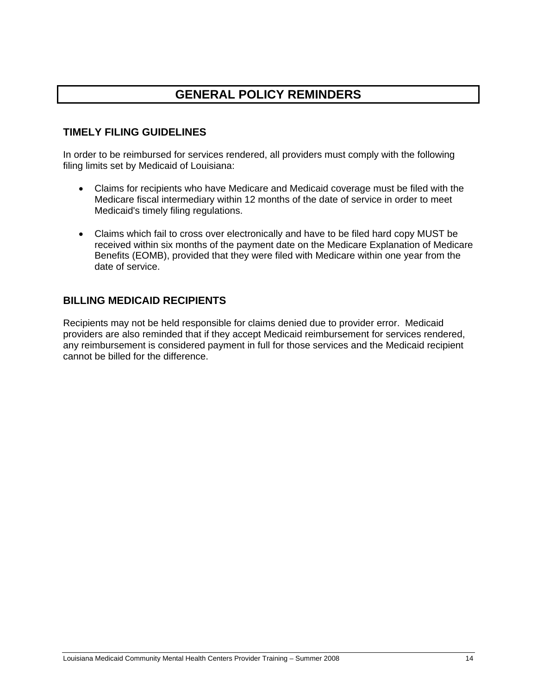# **GENERAL POLICY REMINDERS**

# **TIMELY FILING GUIDELINES**

In order to be reimbursed for services rendered, all providers must comply with the following filing limits set by Medicaid of Louisiana:

- Claims for recipients who have Medicare and Medicaid coverage must be filed with the Medicare fiscal intermediary within 12 months of the date of service in order to meet Medicaid's timely filing regulations.
- Claims which fail to cross over electronically and have to be filed hard copy MUST be received within six months of the payment date on the Medicare Explanation of Medicare Benefits (EOMB), provided that they were filed with Medicare within one year from the date of service.

# **BILLING MEDICAID RECIPIENTS**

Recipients may not be held responsible for claims denied due to provider error. Medicaid providers are also reminded that if they accept Medicaid reimbursement for services rendered, any reimbursement is considered payment in full for those services and the Medicaid recipient cannot be billed for the difference.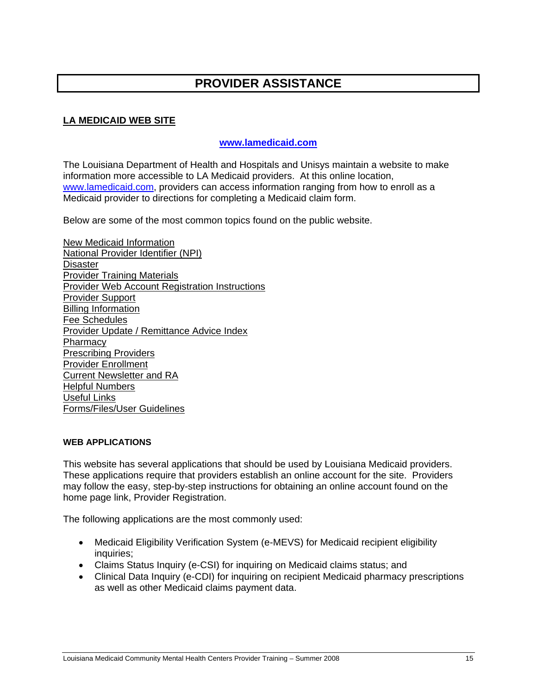# **PROVIDER ASSISTANCE**

# **LA MEDICAID WEB SITE**

# **www.lamedicaid.com**

The Louisiana Department of Health and Hospitals and Unisys maintain a website to make information more accessible to LA Medicaid providers. At this online location, www.lamedicaid.com, providers can access information ranging from how to enroll as a Medicaid provider to directions for completing a Medicaid claim form.

Below are some of the most common topics found on the public website.

New Medicaid Information National Provider Identifier (NPI) **Disaster** Provider Training Materials Provider Web Account Registration Instructions Provider Support Billing Information Fee Schedules Provider Update / Remittance Advice Index **Pharmacy** Prescribing Providers Provider Enrollment Current Newsletter and RA Helpful Numbers Useful Links Forms/Files/User Guidelines

#### **WEB APPLICATIONS**

This website has several applications that should be used by Louisiana Medicaid providers. These applications require that providers establish an online account for the site. Providers may follow the easy, step-by-step instructions for obtaining an online account found on the home page link, Provider Registration.

The following applications are the most commonly used:

- Medicaid Eligibility Verification System (e-MEVS) for Medicaid recipient eligibility inquiries;
- Claims Status Inquiry (e-CSI) for inquiring on Medicaid claims status; and
- Clinical Data Inquiry (e-CDI) for inquiring on recipient Medicaid pharmacy prescriptions as well as other Medicaid claims payment data.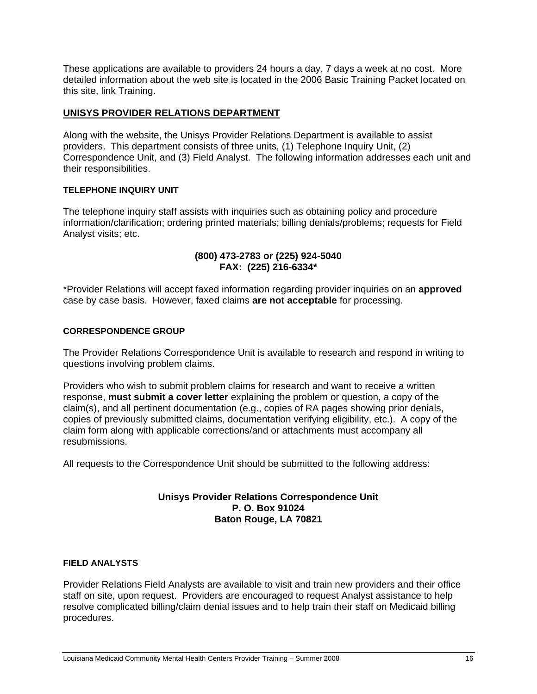These applications are available to providers 24 hours a day, 7 days a week at no cost. More detailed information about the web site is located in the 2006 Basic Training Packet located on this site, link Training.

# **UNISYS PROVIDER RELATIONS DEPARTMENT**

Along with the website, the Unisys Provider Relations Department is available to assist providers. This department consists of three units, (1) Telephone Inquiry Unit, (2) Correspondence Unit, and (3) Field Analyst. The following information addresses each unit and their responsibilities.

## **TELEPHONE INQUIRY UNIT**

The telephone inquiry staff assists with inquiries such as obtaining policy and procedure information/clarification; ordering printed materials; billing denials/problems; requests for Field Analyst visits; etc.

# **(800) 473-2783 or (225) 924-5040 FAX: (225) 216-6334\***

\*Provider Relations will accept faxed information regarding provider inquiries on an **approved** case by case basis. However, faxed claims **are not acceptable** for processing.

## **CORRESPONDENCE GROUP**

The Provider Relations Correspondence Unit is available to research and respond in writing to questions involving problem claims.

Providers who wish to submit problem claims for research and want to receive a written response, **must submit a cover letter** explaining the problem or question, a copy of the claim(s), and all pertinent documentation (e.g., copies of RA pages showing prior denials, copies of previously submitted claims, documentation verifying eligibility, etc.). A copy of the claim form along with applicable corrections/and or attachments must accompany all resubmissions.

All requests to the Correspondence Unit should be submitted to the following address:

# **Unisys Provider Relations Correspondence Unit P. O. Box 91024 Baton Rouge, LA 70821**

#### **FIELD ANALYSTS**

Provider Relations Field Analysts are available to visit and train new providers and their office staff on site, upon request. Providers are encouraged to request Analyst assistance to help resolve complicated billing/claim denial issues and to help train their staff on Medicaid billing procedures.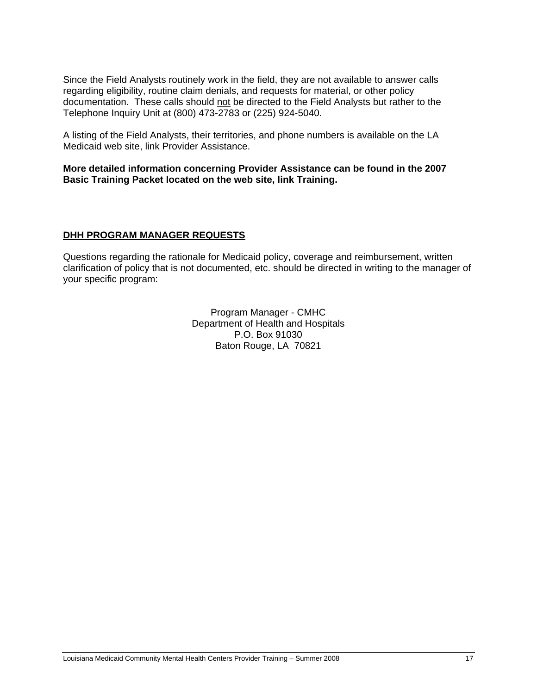Since the Field Analysts routinely work in the field, they are not available to answer calls regarding eligibility, routine claim denials, and requests for material, or other policy documentation. These calls should not be directed to the Field Analysts but rather to the Telephone Inquiry Unit at (800) 473-2783 or (225) 924-5040.

A listing of the Field Analysts, their territories, and phone numbers is available on the LA Medicaid web site, link Provider Assistance.

**More detailed information concerning Provider Assistance can be found in the 2007 Basic Training Packet located on the web site, link Training.** 

# **DHH PROGRAM MANAGER REQUESTS**

Questions regarding the rationale for Medicaid policy, coverage and reimbursement, written clarification of policy that is not documented, etc. should be directed in writing to the manager of your specific program:

> Program Manager - CMHC Department of Health and Hospitals P.O. Box 91030 Baton Rouge, LA 70821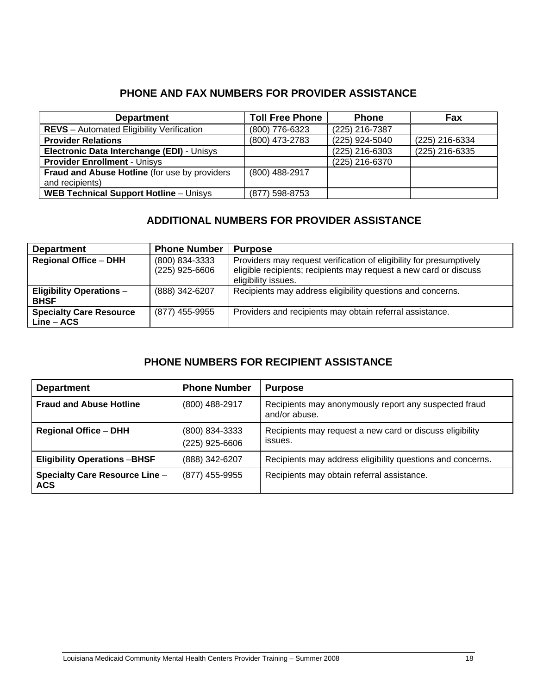# **PHONE AND FAX NUMBERS FOR PROVIDER ASSISTANCE**

| <b>Department</b>                                | <b>Toll Free Phone</b> | <b>Phone</b>   | <b>Fax</b>     |
|--------------------------------------------------|------------------------|----------------|----------------|
| <b>REVS</b> – Automated Eligibility Verification | (800) 776-6323         | (225) 216-7387 |                |
| <b>Provider Relations</b>                        | (800) 473-2783         | (225) 924-5040 | (225) 216-6334 |
| Electronic Data Interchange (EDI) - Unisys       |                        | (225) 216-6303 | (225) 216-6335 |
| <b>Provider Enrollment - Unisys</b>              |                        | (225) 216-6370 |                |
| Fraud and Abuse Hotline (for use by providers    | (800) 488-2917         |                |                |
| and recipients)                                  |                        |                |                |
| <b>WEB Technical Support Hotline - Unisys</b>    | (877) 598-8753         |                |                |

# **ADDITIONAL NUMBERS FOR PROVIDER ASSISTANCE**

| <b>Department</b>                              | <b>Phone Number</b>              | <b>Purpose</b>                                                                                                                                                  |
|------------------------------------------------|----------------------------------|-----------------------------------------------------------------------------------------------------------------------------------------------------------------|
| <b>Regional Office - DHH</b>                   | (800) 834-3333<br>(225) 925-6606 | Providers may request verification of eligibility for presumptively<br>eligible recipients; recipients may request a new card or discuss<br>eligibility issues. |
| <b>Eligibility Operations -</b><br><b>BHSF</b> | (888) 342-6207                   | Recipients may address eligibility questions and concerns.                                                                                                      |
| <b>Specialty Care Resource</b><br>$Line - ACS$ | (877) 455-9955                   | Providers and recipients may obtain referral assistance.                                                                                                        |

# **PHONE NUMBERS FOR RECIPIENT ASSISTANCE**

| <b>Department</b>                                   | <b>Phone Number</b>              | <b>Purpose</b>                                                         |
|-----------------------------------------------------|----------------------------------|------------------------------------------------------------------------|
| <b>Fraud and Abuse Hotline</b>                      | (800) 488-2917                   | Recipients may anonymously report any suspected fraud<br>and/or abuse. |
| <b>Regional Office - DHH</b>                        | (800) 834-3333<br>(225) 925-6606 | Recipients may request a new card or discuss eligibility<br>issues.    |
| <b>Eligibility Operations-BHSF</b>                  | (888) 342-6207                   | Recipients may address eligibility questions and concerns.             |
| <b>Specialty Care Resource Line -</b><br><b>ACS</b> | (877) 455-9955                   | Recipients may obtain referral assistance.                             |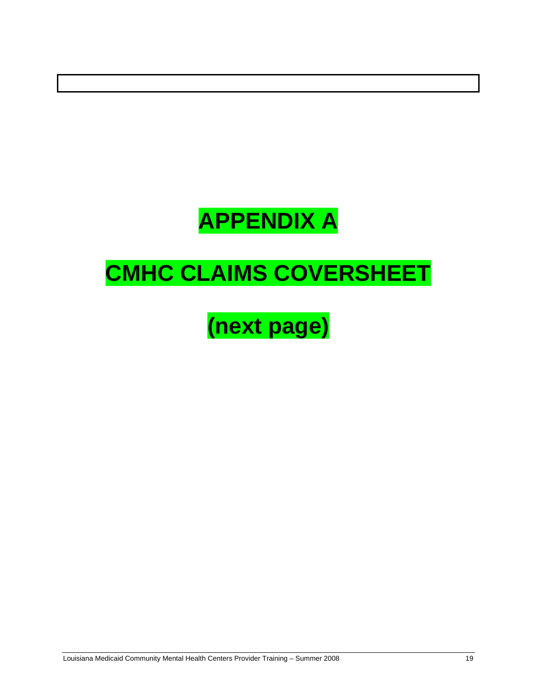# **APPENDIX A**

# **CMHC CLAIMS COVERSHEET**

# **(next page)**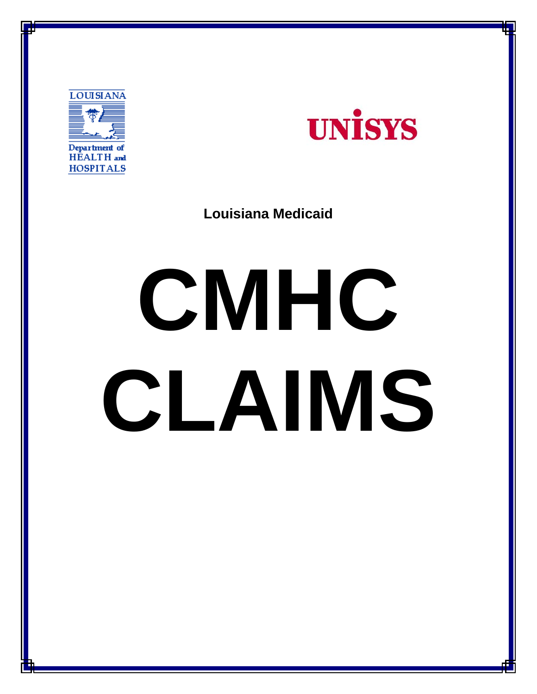



**Louisiana Medicaid** 

# **CMHC CLAIMS**